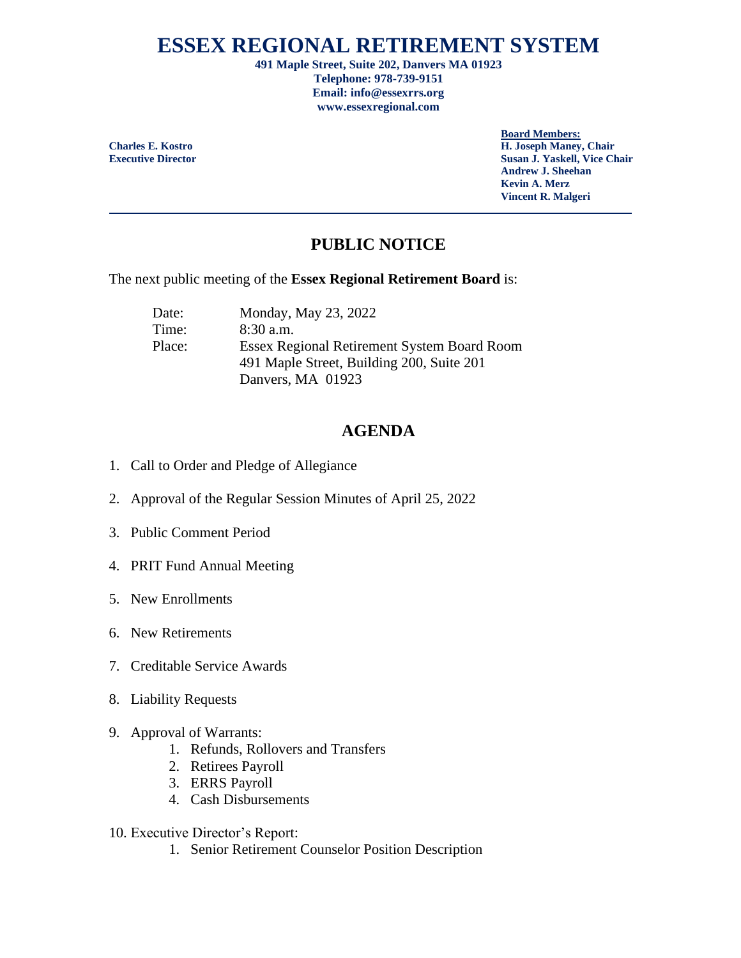# **ESSEX REGIONAL RETIREMENT SYSTEM**

**491 Maple Street, Suite 202, Danvers MA 01923 Telephone: 978-739-9151 Email: info@essexrrs.org www.essexregional.com**

**Board Members:**

**Charles E. Kostro H. Joseph Maney, Chair Executive Director Susan J. Yaskell, Vice Chair Andrew J. Sheehan Kevin A. Merz Vincent R. Malgeri**

# **PUBLIC NOTICE**

The next public meeting of the **Essex Regional Retirement Board** is:

Date: Monday, May 23, 2022 Time: 8:30 a.m. Place: Essex Regional Retirement System Board Room 491 Maple Street, Building 200, Suite 201 Danvers, MA 01923

## **AGENDA**

- 1. Call to Order and Pledge of Allegiance
- 2. Approval of the Regular Session Minutes of April 25, 2022
- 3. Public Comment Period
- 4. PRIT Fund Annual Meeting
- 5. New Enrollments
- 6. New Retirements
- 7. Creditable Service Awards
- 8. Liability Requests
- 9. Approval of Warrants:
	- 1. Refunds, Rollovers and Transfers
	- 2. Retirees Payroll
	- 3. ERRS Payroll
	- 4. Cash Disbursements
- 10. Executive Director's Report:
	- 1. Senior Retirement Counselor Position Description